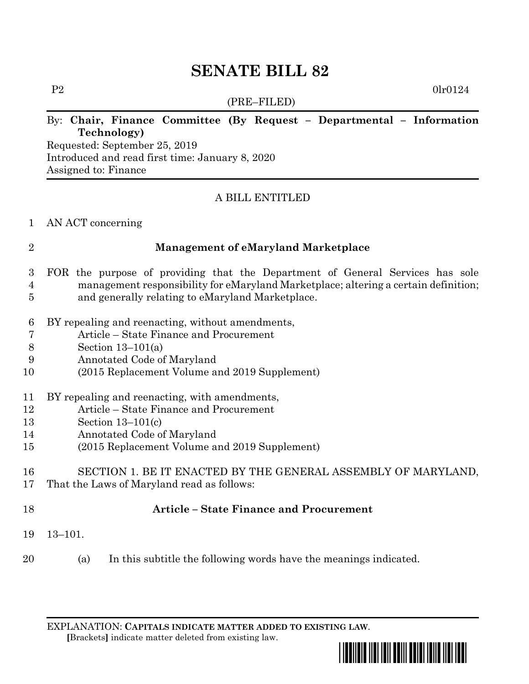# **SENATE BILL 82**

(PRE–FILED)

P2 0lr0124

### By: **Chair, Finance Committee (By Request – Departmental – Information Technology)**

Requested: September 25, 2019 Introduced and read first time: January 8, 2020 Assigned to: Finance

### A BILL ENTITLED

#### AN ACT concerning

#### **Management of eMaryland Marketplace**

- FOR the purpose of providing that the Department of General Services has sole management responsibility for eMaryland Marketplace; altering a certain definition; and generally relating to eMaryland Marketplace.
- BY repealing and reenacting, without amendments,
- Article State Finance and Procurement
- Section 13–101(a)
- Annotated Code of Maryland
- (2015 Replacement Volume and 2019 Supplement)

### BY repealing and reenacting, with amendments,

- Article State Finance and Procurement
- Section 13–101(c)
- Annotated Code of Maryland
- (2015 Replacement Volume and 2019 Supplement)

#### SECTION 1. BE IT ENACTED BY THE GENERAL ASSEMBLY OF MARYLAND, That the Laws of Maryland read as follows:

## **Article – State Finance and Procurement**

- 13–101.
- (a) In this subtitle the following words have the meanings indicated.